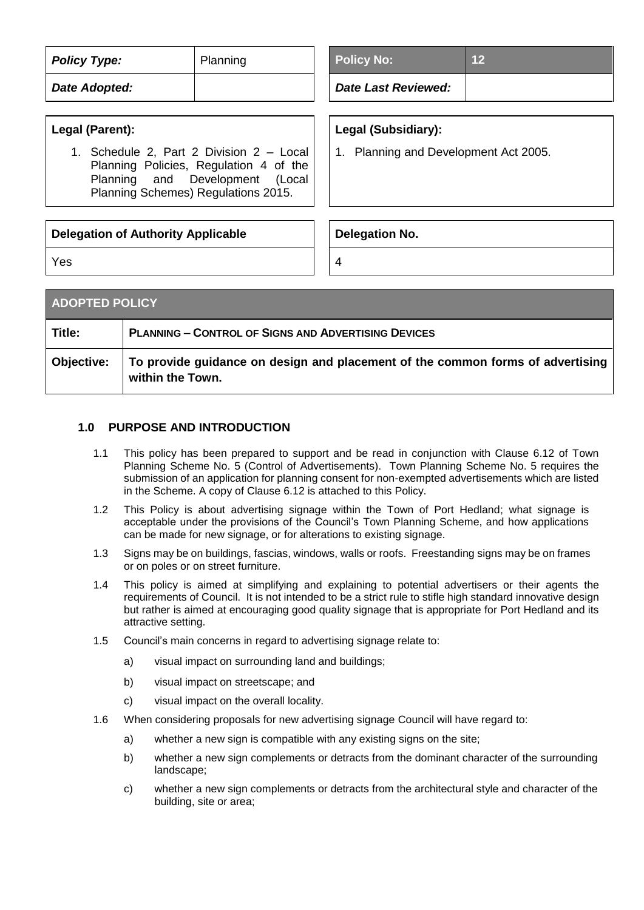| <b>Policy Type:</b><br>Planning                                                                                                                              | <b>Policy No:</b><br>12               |  |
|--------------------------------------------------------------------------------------------------------------------------------------------------------------|---------------------------------------|--|
| Date Adopted:                                                                                                                                                | <b>Date Last Reviewed:</b>            |  |
| Legal (Parent):                                                                                                                                              | Legal (Subsidiary):                   |  |
| 1. Schedule 2, Part 2 Division 2 - Local<br>Planning Policies, Regulation 4 of the<br>Planning and Development (Local<br>Planning Schemes) Regulations 2015. | 1. Planning and Development Act 2005. |  |
| <b>Delegation of Authority Applicable</b>                                                                                                                    | <b>Delegation No.</b>                 |  |
| Yes                                                                                                                                                          | 4                                     |  |
|                                                                                                                                                              |                                       |  |

| <b>ADOPTED POLICY</b> |                                                                                                    |
|-----------------------|----------------------------------------------------------------------------------------------------|
| Title:                | <b>PLANNING - CONTROL OF SIGNS AND ADVERTISING DEVICES</b>                                         |
| Objective:            | To provide guidance on design and placement of the common forms of advertising<br>within the Town. |

# **1.0 PURPOSE AND INTRODUCTION**

- 1.1 This policy has been prepared to support and be read in conjunction with Clause 6.12 of Town Planning Scheme No. 5 (Control of Advertisements). Town Planning Scheme No. 5 requires the submission of an application for planning consent for non-exempted advertisements which are listed in the Scheme. A copy of Clause 6.12 is attached to this Policy.
- 1.2 This Policy is about advertising signage within the Town of Port Hedland; what signage is acceptable under the provisions of the Council's Town Planning Scheme, and how applications can be made for new signage, or for alterations to existing signage.
- 1.3 Signs may be on buildings, fascias, windows, walls or roofs. Freestanding signs may be on frames or on poles or on street furniture.
- 1.4 This policy is aimed at simplifying and explaining to potential advertisers or their agents the requirements of Council. It is not intended to be a strict rule to stifle high standard innovative design but rather is aimed at encouraging good quality signage that is appropriate for Port Hedland and its attractive setting.
- 1.5 Council's main concerns in regard to advertising signage relate to:
	- a) visual impact on surrounding land and buildings;
	- b) visual impact on streetscape; and
	- c) visual impact on the overall locality.
- 1.6 When considering proposals for new advertising signage Council will have regard to:
	- a) whether a new sign is compatible with any existing signs on the site;
	- b) whether a new sign complements or detracts from the dominant character of the surrounding landscape;
	- c) whether a new sign complements or detracts from the architectural style and character of the building, site or area;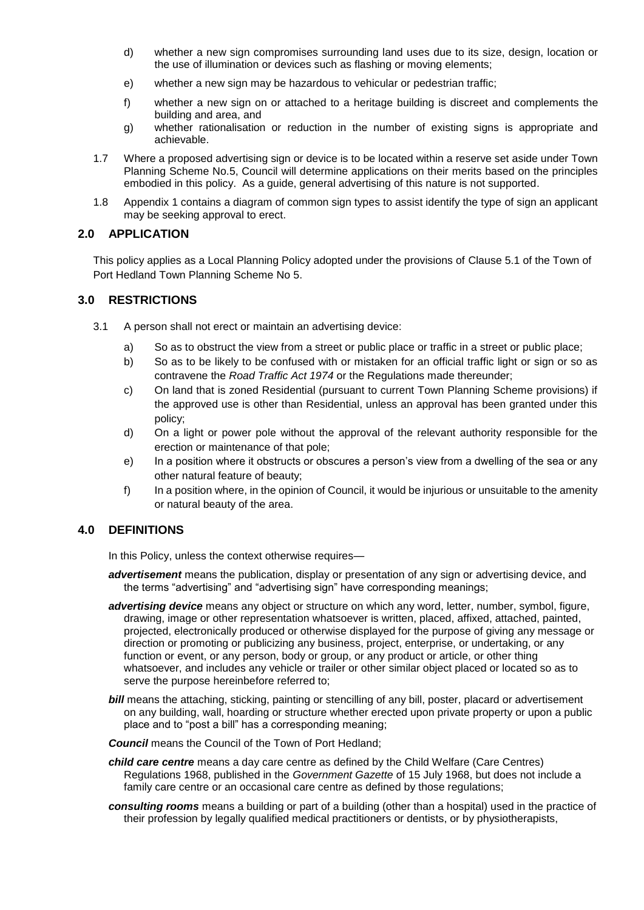- d) whether a new sign compromises surrounding land uses due to its size, design, location or the use of illumination or devices such as flashing or moving elements;
- e) whether a new sign may be hazardous to vehicular or pedestrian traffic;
- f) whether a new sign on or attached to a heritage building is discreet and complements the building and area, and
- g) whether rationalisation or reduction in the number of existing signs is appropriate and achievable.
- 1.7 Where a proposed advertising sign or device is to be located within a reserve set aside under Town Planning Scheme No.5, Council will determine applications on their merits based on the principles embodied in this policy. As a guide, general advertising of this nature is not supported.
- 1.8 Appendix 1 contains a diagram of common sign types to assist identify the type of sign an applicant may be seeking approval to erect.

## **2.0 APPLICATION**

This policy applies as a Local Planning Policy adopted under the provisions of Clause 5.1 of the Town of Port Hedland Town Planning Scheme No 5.

# **3.0 RESTRICTIONS**

- 3.1 A person shall not erect or maintain an advertising device:
	- a) So as to obstruct the view from a street or public place or traffic in a street or public place;
	- b) So as to be likely to be confused with or mistaken for an official traffic light or sign or so as contravene the *Road Traffic Act 1974* or the Regulations made thereunder;
	- c) On land that is zoned Residential (pursuant to current Town Planning Scheme provisions) if the approved use is other than Residential, unless an approval has been granted under this policy;
	- d) On a light or power pole without the approval of the relevant authority responsible for the erection or maintenance of that pole;
	- e) In a position where it obstructs or obscures a person's view from a dwelling of the sea or any other natural feature of beauty;
	- f) In a position where, in the opinion of Council, it would be injurious or unsuitable to the amenity or natural beauty of the area.

# **4.0 DEFINITIONS**

In this Policy, unless the context otherwise requires-

- *advertisement* means the publication, display or presentation of any sign or advertising device, and the terms "advertising" and "advertising sign" have corresponding meanings;
- *advertising device* means any object or structure on which any word, letter, number, symbol, figure, drawing, image or other representation whatsoever is written, placed, affixed, attached, painted, projected, electronically produced or otherwise displayed for the purpose of giving any message or direction or promoting or publicizing any business, project, enterprise, or undertaking, or any function or event, or any person, body or group, or any product or article, or other thing whatsoever, and includes any vehicle or trailer or other similar object placed or located so as to serve the purpose hereinbefore referred to;
- *bill* means the attaching, sticking, painting or stencilling of any bill, poster, placard or advertisement on any building, wall, hoarding or structure whether erected upon private property or upon a public place and to "post a bill" has a corresponding meaning;
- **Council** means the Council of the Town of Port Hedland:
- *child care centre* means a day care centre as defined by the Child Welfare (Care Centres) Regulations 1968, published in the *Government Gazette* of 15 July 1968, but does not include a family care centre or an occasional care centre as defined by those regulations;
- *consulting rooms* means a building or part of a building (other than a hospital) used in the practice of their profession by legally qualified medical practitioners or dentists, or by physiotherapists,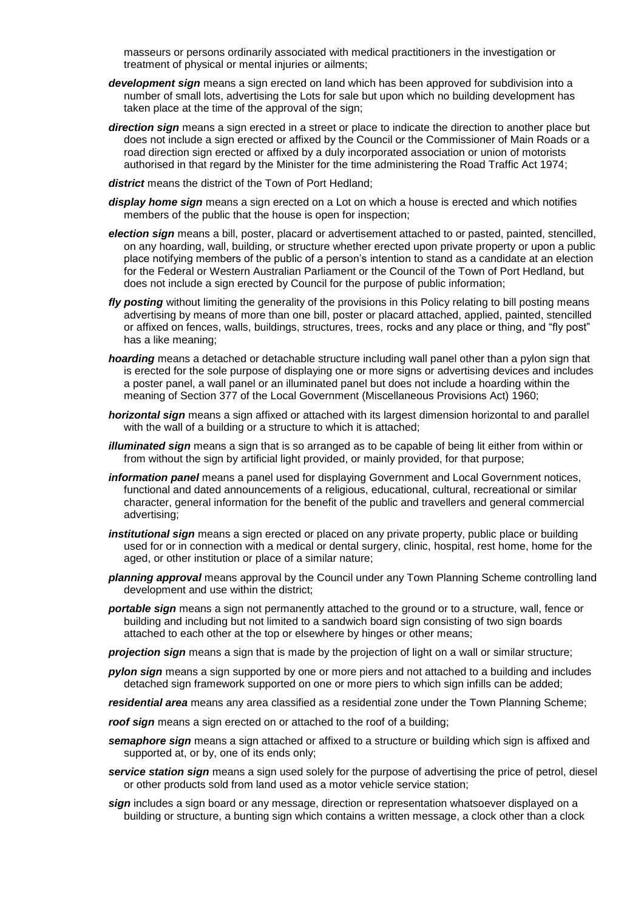masseurs or persons ordinarily associated with medical practitioners in the investigation or treatment of physical or mental injuries or ailments;

- *development sign* means a sign erected on land which has been approved for subdivision into a number of small lots, advertising the Lots for sale but upon which no building development has taken place at the time of the approval of the sign;
- **direction sign** means a sign erected in a street or place to indicate the direction to another place but does not include a sign erected or affixed by the Council or the Commissioner of Main Roads or a road direction sign erected or affixed by a duly incorporated association or union of motorists authorised in that regard by the Minister for the time administering the Road Traffic Act 1974;
- *district* means the district of the Town of Port Hedland;
- *display home sign* means a sign erected on a Lot on which a house is erected and which notifies members of the public that the house is open for inspection;
- *election sign* means a bill, poster, placard or advertisement attached to or pasted, painted, stencilled, on any hoarding, wall, building, or structure whether erected upon private property or upon a public place notifying members of the public of a person's intention to stand as a candidate at an election for the Federal or Western Australian Parliament or the Council of the Town of Port Hedland, but does not include a sign erected by Council for the purpose of public information;
- *fly posting* without limiting the generality of the provisions in this Policy relating to bill posting means advertising by means of more than one bill, poster or placard attached, applied, painted, stencilled or affixed on fences, walls, buildings, structures, trees, rocks and any place or thing, and "fly post" has a like meaning;
- *hoarding* means a detached or detachable structure including wall panel other than a pylon sign that is erected for the sole purpose of displaying one or more signs or advertising devices and includes a poster panel, a wall panel or an illuminated panel but does not include a hoarding within the meaning of Section 377 of the Local Government (Miscellaneous Provisions Act) 1960;
- *horizontal sign* means a sign affixed or attached with its largest dimension horizontal to and parallel with the wall of a building or a structure to which it is attached;
- *illuminated sign* means a sign that is so arranged as to be capable of being lit either from within or from without the sign by artificial light provided, or mainly provided, for that purpose;
- *information panel* means a panel used for displaying Government and Local Government notices, functional and dated announcements of a religious, educational, cultural, recreational or similar character, general information for the benefit of the public and travellers and general commercial advertising;
- *institutional sign* means a sign erected or placed on any private property, public place or building used for or in connection with a medical or dental surgery, clinic, hospital, rest home, home for the aged, or other institution or place of a similar nature;
- *planning approval* means approval by the Council under any Town Planning Scheme controlling land development and use within the district;
- *portable sign* means a sign not permanently attached to the ground or to a structure, wall, fence or building and including but not limited to a sandwich board sign consisting of two sign boards attached to each other at the top or elsewhere by hinges or other means;
- *projection sign* means a sign that is made by the projection of light on a wall or similar structure;
- *pylon sign* means a sign supported by one or more piers and not attached to a building and includes detached sign framework supported on one or more piers to which sign infills can be added;
- *residential area* means any area classified as a residential zone under the Town Planning Scheme;
- *roof sign* means a sign erected on or attached to the roof of a building;
- *semaphore sign* means a sign attached or affixed to a structure or building which sign is affixed and supported at, or by, one of its ends only;
- *service station sign* means a sign used solely for the purpose of advertising the price of petrol, diesel or other products sold from land used as a motor vehicle service station;
- *sign* includes a sign board or any message, direction or representation whatsoever displayed on a building or structure, a bunting sign which contains a written message, a clock other than a clock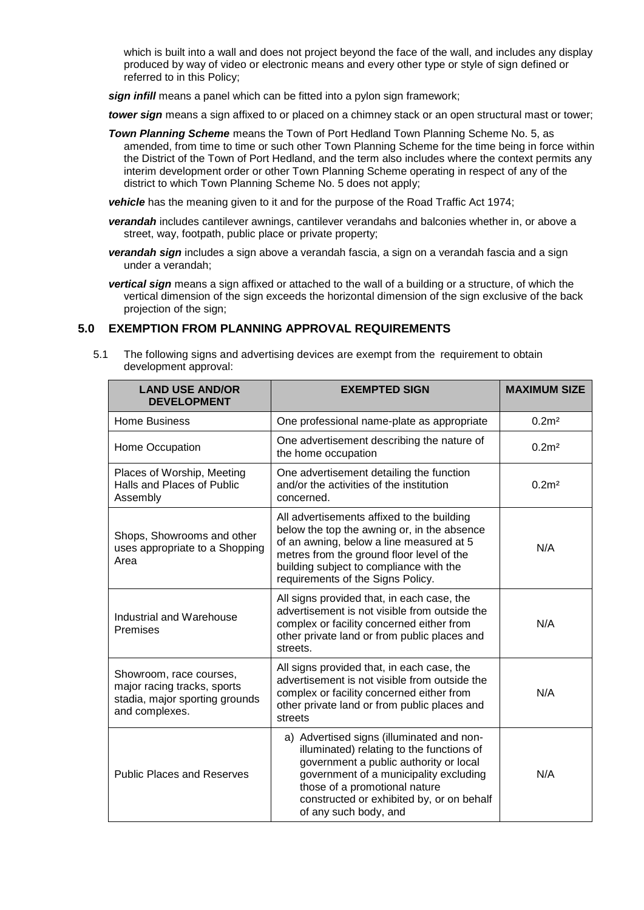which is built into a wall and does not project beyond the face of the wall, and includes any display produced by way of video or electronic means and every other type or style of sign defined or referred to in this Policy;

*sign infill* means a panel which can be fitted into a pylon sign framework;

*tower sign* means a sign affixed to or placed on a chimney stack or an open structural mast or tower;

*Town Planning Scheme* means the Town of Port Hedland Town Planning Scheme No. 5, as amended, from time to time or such other Town Planning Scheme for the time being in force within the District of the Town of Port Hedland, and the term also includes where the context permits any interim development order or other Town Planning Scheme operating in respect of any of the district to which Town Planning Scheme No. 5 does not apply;

*vehicle* has the meaning given to it and for the purpose of the Road Traffic Act 1974;

- *verandah* includes cantilever awnings, cantilever verandahs and balconies whether in, or above a street, way, footpath, public place or private property;
- *verandah sign* includes a sign above a verandah fascia, a sign on a verandah fascia and a sign under a verandah;

*vertical sign* means a sign affixed or attached to the wall of a building or a structure, of which the vertical dimension of the sign exceeds the horizontal dimension of the sign exclusive of the back projection of the sign;

### **5.0 EXEMPTION FROM PLANNING APPROVAL REQUIREMENTS**

5.1 The following signs and advertising devices are exempt from the requirement to obtain development approval:

| <b>LAND USE AND/OR</b><br><b>DEVELOPMENT</b>                                                               | <b>EXEMPTED SIGN</b>                                                                                                                                                                                                                                                              | <b>MAXIMUM SIZE</b> |
|------------------------------------------------------------------------------------------------------------|-----------------------------------------------------------------------------------------------------------------------------------------------------------------------------------------------------------------------------------------------------------------------------------|---------------------|
| <b>Home Business</b>                                                                                       | One professional name-plate as appropriate                                                                                                                                                                                                                                        | 0.2 <sup>2</sup>    |
| Home Occupation                                                                                            | One advertisement describing the nature of<br>the home occupation                                                                                                                                                                                                                 | 0.2m <sup>2</sup>   |
| Places of Worship, Meeting<br>Halls and Places of Public<br>Assembly                                       | One advertisement detailing the function<br>and/or the activities of the institution<br>concerned.                                                                                                                                                                                | 0.2 <sup>m²</sup>   |
| Shops, Showrooms and other<br>uses appropriate to a Shopping<br>Area                                       | All advertisements affixed to the building<br>below the top the awning or, in the absence<br>of an awning, below a line measured at 5<br>metres from the ground floor level of the<br>building subject to compliance with the<br>requirements of the Signs Policy.                | N/A                 |
| Industrial and Warehouse<br>Premises                                                                       | All signs provided that, in each case, the<br>advertisement is not visible from outside the<br>complex or facility concerned either from<br>other private land or from public places and<br>streets.                                                                              | N/A                 |
| Showroom, race courses,<br>major racing tracks, sports<br>stadia, major sporting grounds<br>and complexes. | All signs provided that, in each case, the<br>advertisement is not visible from outside the<br>complex or facility concerned either from<br>other private land or from public places and<br>streets                                                                               | N/A                 |
| <b>Public Places and Reserves</b>                                                                          | a) Advertised signs (illuminated and non-<br>illuminated) relating to the functions of<br>government a public authority or local<br>government of a municipality excluding<br>those of a promotional nature<br>constructed or exhibited by, or on behalf<br>of any such body, and | N/A                 |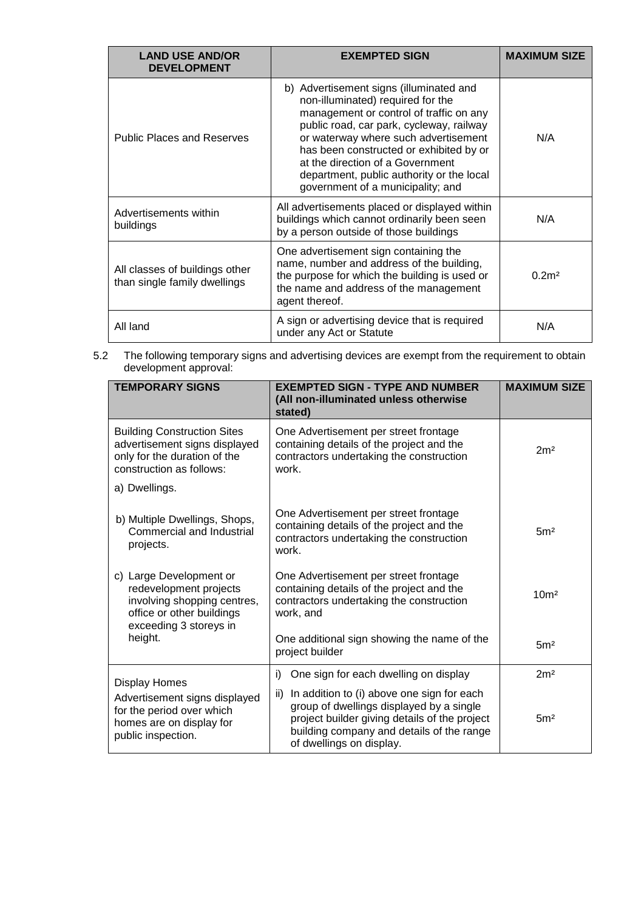| <b>LAND USE AND/OR</b><br><b>DEVELOPMENT</b>                   | <b>EXEMPTED SIGN</b>                                                                                                                                                                                                                                                                                                                                                         | <b>MAXIMUM SIZE</b> |
|----------------------------------------------------------------|------------------------------------------------------------------------------------------------------------------------------------------------------------------------------------------------------------------------------------------------------------------------------------------------------------------------------------------------------------------------------|---------------------|
| <b>Public Places and Reserves</b>                              | b) Advertisement signs (illuminated and<br>non-illuminated) required for the<br>management or control of traffic on any<br>public road, car park, cycleway, railway<br>or waterway where such advertisement<br>has been constructed or exhibited by or<br>at the direction of a Government<br>department, public authority or the local<br>government of a municipality; and | N/A                 |
| Advertisements within<br>buildings                             | All advertisements placed or displayed within<br>buildings which cannot ordinarily been seen<br>by a person outside of those buildings                                                                                                                                                                                                                                       | N/A                 |
| All classes of buildings other<br>than single family dwellings | One advertisement sign containing the<br>name, number and address of the building,<br>the purpose for which the building is used or<br>the name and address of the management<br>agent thereof.                                                                                                                                                                              | 0.2 <sup>m²</sup>   |
| All land                                                       | A sign or advertising device that is required<br>under any Act or Statute                                                                                                                                                                                                                                                                                                    | N/A                 |

5.2 The following temporary signs and advertising devices are exempt from the requirement to obtain development approval:

| <b>TEMPORARY SIGNS</b>                                                                                                                           | <b>EXEMPTED SIGN - TYPE AND NUMBER</b><br>(All non-illuminated unless otherwise<br>stated)                                                                                                                              | <b>MAXIMUM SIZE</b> |
|--------------------------------------------------------------------------------------------------------------------------------------------------|-------------------------------------------------------------------------------------------------------------------------------------------------------------------------------------------------------------------------|---------------------|
| <b>Building Construction Sites</b><br>advertisement signs displayed<br>only for the duration of the<br>construction as follows:<br>a) Dwellings. | One Advertisement per street frontage<br>containing details of the project and the<br>contractors undertaking the construction<br>work                                                                                  | 2m <sup>2</sup>     |
| b) Multiple Dwellings, Shops,<br>Commercial and Industrial<br>projects.                                                                          | One Advertisement per street frontage<br>containing details of the project and the<br>contractors undertaking the construction<br>work.                                                                                 | 5 <sup>m²</sup>     |
| c) Large Development or<br>redevelopment projects<br>involving shopping centres,<br>office or other buildings<br>exceeding 3 storeys in          | One Advertisement per street frontage<br>containing details of the project and the<br>contractors undertaking the construction<br>work, and                                                                             | 10 <sup>m²</sup>    |
| height.                                                                                                                                          | One additional sign showing the name of the<br>project builder                                                                                                                                                          | 5 <sup>m²</sup>     |
| <b>Display Homes</b>                                                                                                                             | i)<br>One sign for each dwelling on display                                                                                                                                                                             | 2m <sup>2</sup>     |
| Advertisement signs displayed<br>for the period over which<br>homes are on display for<br>public inspection.                                     | ii)<br>In addition to (i) above one sign for each<br>group of dwellings displayed by a single<br>project builder giving details of the project<br>building company and details of the range<br>of dwellings on display. | 5 <sup>m²</sup>     |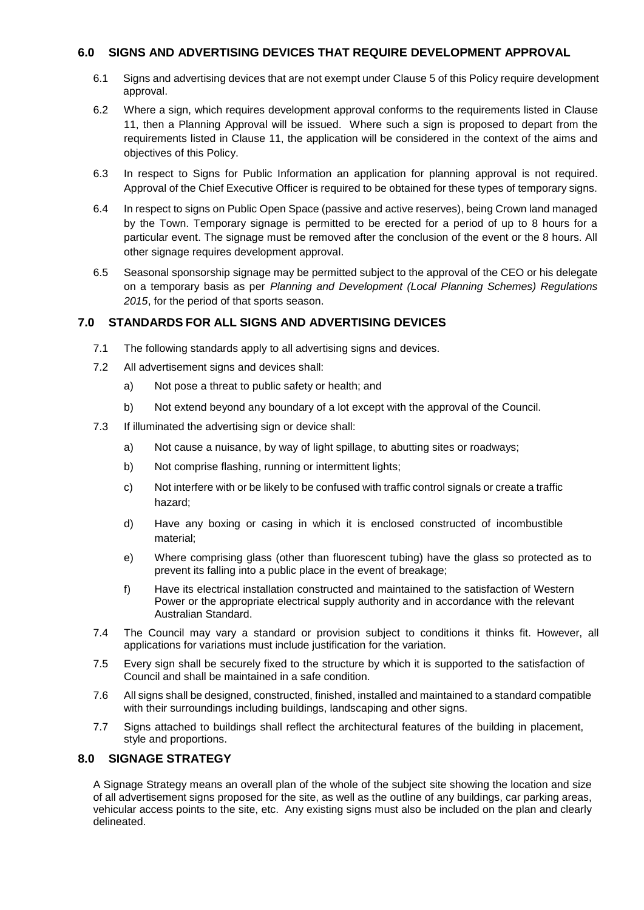# **6.0 SIGNS AND ADVERTISING DEVICES THAT REQUIRE DEVELOPMENT APPROVAL**

- 6.1 Signs and advertising devices that are not exempt under Clause 5 of this Policy require development approval.
- 6.2 Where a sign, which requires development approval conforms to the requirements listed in Clause 11, then a Planning Approval will be issued. Where such a sign is proposed to depart from the requirements listed in Clause 11, the application will be considered in the context of the aims and objectives of this Policy.
- 6.3 In respect to Signs for Public Information an application for planning approval is not required. Approval of the Chief Executive Officer is required to be obtained for these types of temporary signs.
- 6.4 In respect to signs on Public Open Space (passive and active reserves), being Crown land managed by the Town. Temporary signage is permitted to be erected for a period of up to 8 hours for a particular event. The signage must be removed after the conclusion of the event or the 8 hours. All other signage requires development approval.
- 6.5 Seasonal sponsorship signage may be permitted subject to the approval of the CEO or his delegate on a temporary basis as per *Planning and Development (Local Planning Schemes) Regulations 2015*, for the period of that sports season.

# **7.0 STANDARDS FOR ALL SIGNS AND ADVERTISING DEVICES**

- 7.1 The following standards apply to all advertising signs and devices.
- 7.2 All advertisement signs and devices shall:
	- a) Not pose a threat to public safety or health; and
	- b) Not extend beyond any boundary of a lot except with the approval of the Council.
- 7.3 If illuminated the advertising sign or device shall:
	- a) Not cause a nuisance, by way of light spillage, to abutting sites or roadways;
	- b) Not comprise flashing, running or intermittent lights;
	- c) Not interfere with or be likely to be confused with traffic control signals or create a traffic hazard;
	- d) Have any boxing or casing in which it is enclosed constructed of incombustible material;
	- e) Where comprising glass (other than fluorescent tubing) have the glass so protected as to prevent its falling into a public place in the event of breakage;
	- f) Have its electrical installation constructed and maintained to the satisfaction of Western Power or the appropriate electrical supply authority and in accordance with the relevant Australian Standard.
- 7.4 The Council may vary a standard or provision subject to conditions it thinks fit. However, all applications for variations must include justification for the variation.
- 7.5 Every sign shall be securely fixed to the structure by which it is supported to the satisfaction of Council and shall be maintained in a safe condition.
- 7.6 All signs shall be designed, constructed, finished, installed and maintained to a standard compatible with their surroundings including buildings, landscaping and other signs.
- 7.7 Signs attached to buildings shall reflect the architectural features of the building in placement, style and proportions.

# **8.0 SIGNAGE STRATEGY**

A Signage Strategy means an overall plan of the whole of the subject site showing the location and size of all advertisement signs proposed for the site, as well as the outline of any buildings, car parking areas, vehicular access points to the site, etc. Any existing signs must also be included on the plan and clearly delineated.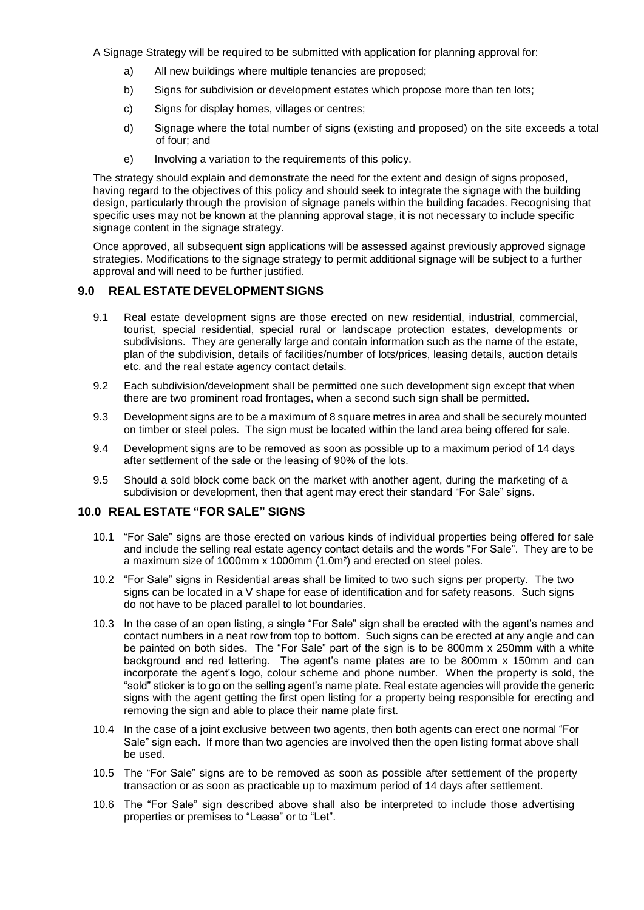A Signage Strategy will be required to be submitted with application for planning approval for:

- a) All new buildings where multiple tenancies are proposed;
- b) Signs for subdivision or development estates which propose more than ten lots;
- c) Signs for display homes, villages or centres;
- d) Signage where the total number of signs (existing and proposed) on the site exceeds a total of four; and
- e) Involving a variation to the requirements of this policy.

The strategy should explain and demonstrate the need for the extent and design of signs proposed, having regard to the objectives of this policy and should seek to integrate the signage with the building design, particularly through the provision of signage panels within the building facades. Recognising that specific uses may not be known at the planning approval stage, it is not necessary to include specific signage content in the signage strategy.

Once approved, all subsequent sign applications will be assessed against previously approved signage strategies. Modifications to the signage strategy to permit additional signage will be subject to a further approval and will need to be further justified.

# **9.0 REAL ESTATE DEVELOPMENT SIGNS**

- 9.1 Real estate development signs are those erected on new residential, industrial, commercial, tourist, special residential, special rural or landscape protection estates, developments or subdivisions. They are generally large and contain information such as the name of the estate, plan of the subdivision, details of facilities/number of lots/prices, leasing details, auction details etc. and the real estate agency contact details.
- 9.2 Each subdivision/development shall be permitted one such development sign except that when there are two prominent road frontages, when a second such sign shall be permitted.
- 9.3 Development signs are to be a maximum of 8 square metres in area and shall be securely mounted on timber or steel poles. The sign must be located within the land area being offered for sale.
- 9.4 Development signs are to be removed as soon as possible up to a maximum period of 14 days after settlement of the sale or the leasing of 90% of the lots.
- 9.5 Should a sold block come back on the market with another agent, during the marketing of a subdivision or development, then that agent may erect their standard "For Sale" signs.

### **10.0 REAL ESTATE "FOR SALE" SIGNS**

- 10.1 "For Sale" signs are those erected on various kinds of individual properties being offered for sale and include the selling real estate agency contact details and the words "For Sale". They are to be a maximum size of 1000mm x 1000mm (1.0m²) and erected on steel poles.
- 10.2 "For Sale" signs in Residential areas shall be limited to two such signs per property. The two signs can be located in a V shape for ease of identification and for safety reasons. Such signs do not have to be placed parallel to lot boundaries.
- 10.3 In the case of an open listing, a single "For Sale" sign shall be erected with the agent's names and contact numbers in a neat row from top to bottom. Such signs can be erected at any angle and can be painted on both sides. The "For Sale" part of the sign is to be 800mm x 250mm with a white background and red lettering. The agent's name plates are to be 800mm x 150mm and can incorporate the agent's logo, colour scheme and phone number. When the property is sold, the "sold" sticker is to go on the selling agent's name plate. Real estate agencies will provide the generic signs with the agent getting the first open listing for a property being responsible for erecting and removing the sign and able to place their name plate first.
- 10.4 In the case of a joint exclusive between two agents, then both agents can erect one normal "For Sale" sign each. If more than two agencies are involved then the open listing format above shall be used.
- 10.5 The "For Sale" signs are to be removed as soon as possible after settlement of the property transaction or as soon as practicable up to maximum period of 14 days after settlement.
- 10.6 The "For Sale" sign described above shall also be interpreted to include those advertising properties or premises to "Lease" or to "Let".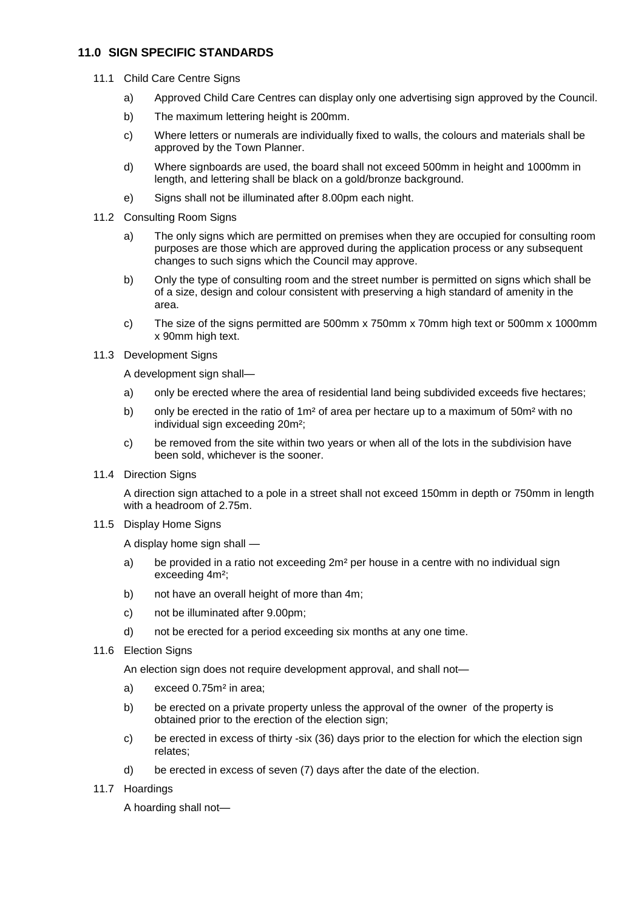# **11.0 SIGN SPECIFIC STANDARDS**

- 11.1 Child Care Centre Signs
	- a) Approved Child Care Centres can display only one advertising sign approved by the Council.
	- b) The maximum lettering height is 200mm.
	- c) Where letters or numerals are individually fixed to walls, the colours and materials shall be approved by the Town Planner.
	- d) Where signboards are used, the board shall not exceed 500mm in height and 1000mm in length, and lettering shall be black on a gold/bronze background.
	- e) Signs shall not be illuminated after 8.00pm each night.
- 11.2 Consulting Room Signs
	- a) The only signs which are permitted on premises when they are occupied for consulting room purposes are those which are approved during the application process or any subsequent changes to such signs which the Council may approve.
	- b) Only the type of consulting room and the street number is permitted on signs which shall be of a size, design and colour consistent with preserving a high standard of amenity in the area.
	- c) The size of the signs permitted are 500mm x 750mm x 70mm high text or 500mm x 1000mm x 90mm high text.
- 11.3 Development Signs

A development sign shall—

- a) only be erected where the area of residential land being subdivided exceeds five hectares;
- b) only be erected in the ratio of  $1m^2$  of area per hectare up to a maximum of  $50m^2$  with no individual sign exceeding 20m²;
- c) be removed from the site within two years or when all of the lots in the subdivision have been sold, whichever is the sooner.
- 11.4 Direction Signs

A direction sign attached to a pole in a street shall not exceed 150mm in depth or 750mm in length with a headroom of 2.75m.

11.5 Display Home Signs

A display home sign shall —

- a) be provided in a ratio not exceeding  $2m^2$  per house in a centre with no individual sign exceeding 4m²;
- b) not have an overall height of more than 4m;
- c) not be illuminated after 9.00pm;
- d) not be erected for a period exceeding six months at any one time.
- 11.6 Election Signs

An election sign does not require development approval, and shall not—

- a) exceed 0.75m² in area;
- b) be erected on a private property unless the approval of the owner of the property is obtained prior to the erection of the election sign;
- c) be erected in excess of thirty -six (36) days prior to the election for which the election sign relates;
- d) be erected in excess of seven (7) days after the date of the election.
- 11.7 Hoardings

A hoarding shall not—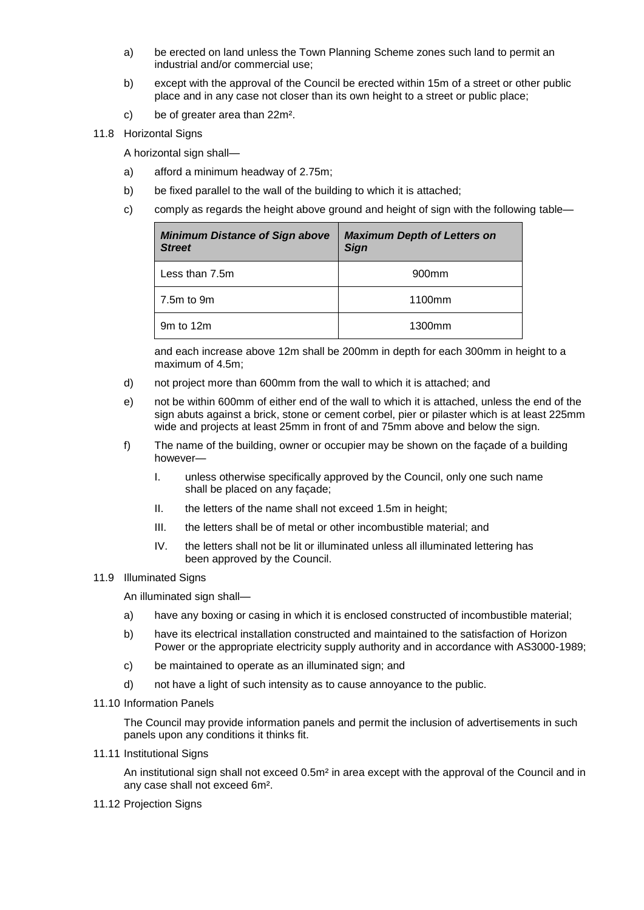- a) be erected on land unless the Town Planning Scheme zones such land to permit an industrial and/or commercial use;
- b) except with the approval of the Council be erected within 15m of a street or other public place and in any case not closer than its own height to a street or public place;
- c) be of greater area than 22m².
- 11.8 Horizontal Signs

A horizontal sign shall—

- a) afford a minimum headway of 2.75m;
- b) be fixed parallel to the wall of the building to which it is attached;
- c) comply as regards the height above ground and height of sign with the following table—

| <b>Minimum Distance of Sign above</b><br><b>Street</b> | <b>Maximum Depth of Letters on</b><br><b>Sign</b> |
|--------------------------------------------------------|---------------------------------------------------|
| Less than 7.5m                                         | 900 <sub>mm</sub>                                 |
| 7.5m to 9m                                             | 1100mm                                            |
| 9m to 12m                                              | 1300mm                                            |

and each increase above 12m shall be 200mm in depth for each 300mm in height to a maximum of 4.5m;

- d) not project more than 600mm from the wall to which it is attached; and
- e) not be within 600mm of either end of the wall to which it is attached, unless the end of the sign abuts against a brick, stone or cement corbel, pier or pilaster which is at least 225mm wide and projects at least 25mm in front of and 75mm above and below the sign.
- f) The name of the building, owner or occupier may be shown on the façade of a building however—
	- I. unless otherwise specifically approved by the Council, only one such name shall be placed on any façade;
	- II. the letters of the name shall not exceed 1.5m in height;
	- III. the letters shall be of metal or other incombustible material; and
	- IV. the letters shall not be lit or illuminated unless all illuminated lettering has been approved by the Council.

#### 11.9 Illuminated Signs

An illuminated sign shall—

- a) have any boxing or casing in which it is enclosed constructed of incombustible material;
- b) have its electrical installation constructed and maintained to the satisfaction of Horizon Power or the appropriate electricity supply authority and in accordance with AS3000-1989;
- c) be maintained to operate as an illuminated sign; and
- d) not have a light of such intensity as to cause annoyance to the public.
- 11.10 Information Panels

The Council may provide information panels and permit the inclusion of advertisements in such panels upon any conditions it thinks fit.

11.11 Institutional Signs

An institutional sign shall not exceed 0.5m² in area except with the approval of the Council and in any case shall not exceed 6m².

11.12 Projection Signs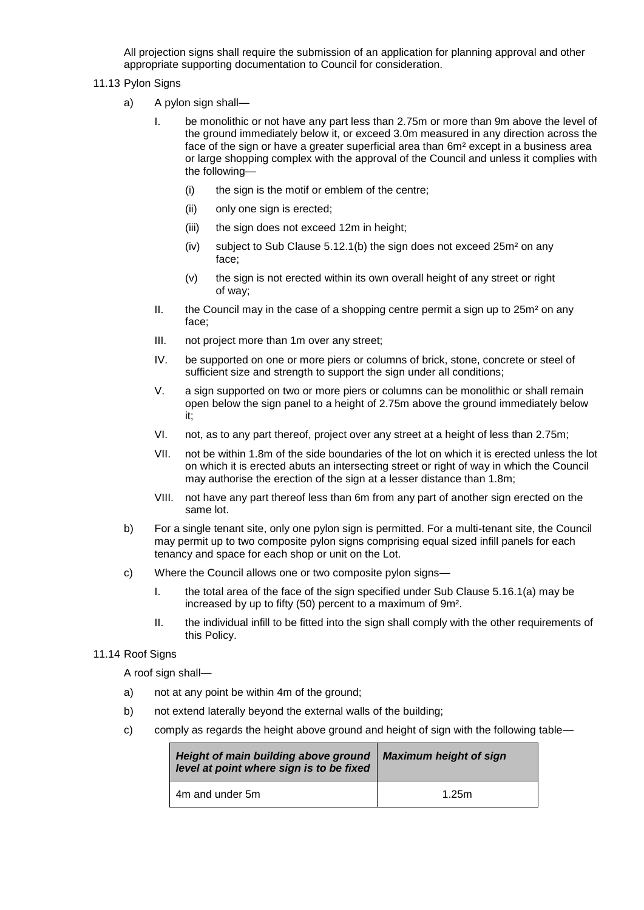All projection signs shall require the submission of an application for planning approval and other appropriate supporting documentation to Council for consideration.

### 11.13 Pylon Signs

- a) A pylon sign shall—
	- I. be monolithic or not have any part less than 2.75m or more than 9m above the level of the ground immediately below it, or exceed 3.0m measured in any direction across the face of the sign or have a greater superficial area than 6m² except in a business area or large shopping complex with the approval of the Council and unless it complies with the following—
		- (i) the sign is the motif or emblem of the centre;
		- (ii) only one sign is erected;
		- (iii) the sign does not exceed 12m in height;
		- (iv) subject to Sub Clause 5.12.1(b) the sign does not exceed 25m² on any face;
		- (v) the sign is not erected within its own overall height of any street or right of way;
	- II. the Council may in the case of a shopping centre permit a sign up to  $25m<sup>2</sup>$  on any face;
	- III. not project more than 1m over any street;
	- IV. be supported on one or more piers or columns of brick, stone, concrete or steel of sufficient size and strength to support the sign under all conditions;
	- V. a sign supported on two or more piers or columns can be monolithic or shall remain open below the sign panel to a height of 2.75m above the ground immediately below it;
	- VI. not, as to any part thereof, project over any street at a height of less than 2.75m;
	- VII. not be within 1.8m of the side boundaries of the lot on which it is erected unless the lot on which it is erected abuts an intersecting street or right of way in which the Council may authorise the erection of the sign at a lesser distance than 1.8m;
	- VIII. not have any part thereof less than 6m from any part of another sign erected on the same lot.
- b) For a single tenant site, only one pylon sign is permitted. For a multi-tenant site, the Council may permit up to two composite pylon signs comprising equal sized infill panels for each tenancy and space for each shop or unit on the Lot.
- c) Where the Council allows one or two composite pylon signs—
	- I. the total area of the face of the sign specified under Sub Clause 5.16.1(a) may be increased by up to fifty (50) percent to a maximum of 9m².
	- II. the individual infill to be fitted into the sign shall comply with the other requirements of this Policy.

### 11.14 Roof Signs

A roof sign shall-

- a) not at any point be within 4m of the ground;
- b) not extend laterally beyond the external walls of the building;
- c) comply as regards the height above ground and height of sign with the following table—

| Height of main building above ground<br>level at point where sign is to be fixed | <b>Maximum height of sign</b> |  |
|----------------------------------------------------------------------------------|-------------------------------|--|
| 4m and under 5m                                                                  | 1.25m                         |  |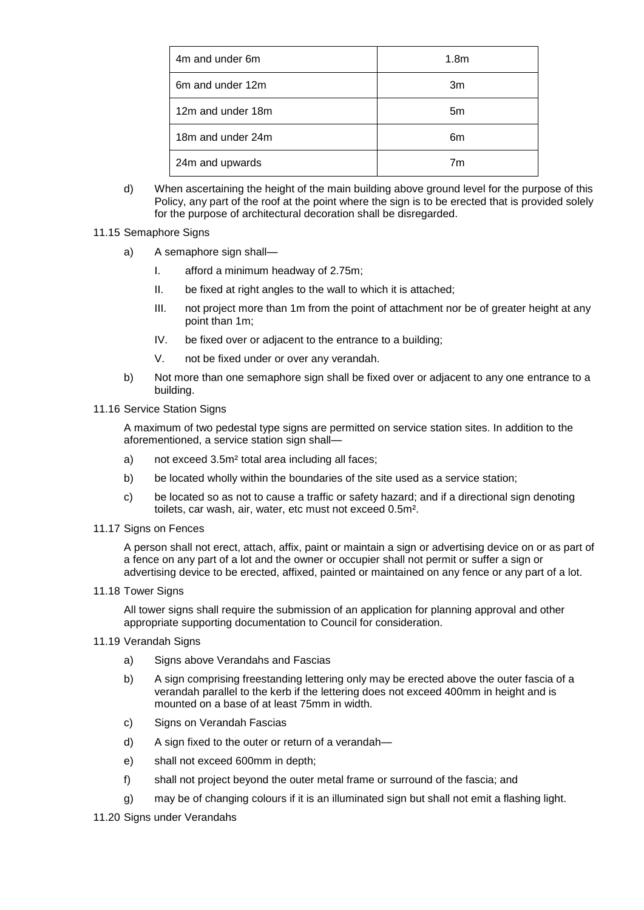| 4m and under 6m   | 1.8 <sub>m</sub> |
|-------------------|------------------|
| 6m and under 12m  | 3m               |
| 12m and under 18m | 5m               |
| 18m and under 24m | 6m               |
| 24m and upwards   | 7m               |

d) When ascertaining the height of the main building above ground level for the purpose of this Policy, any part of the roof at the point where the sign is to be erected that is provided solely for the purpose of architectural decoration shall be disregarded.

#### 11.15 Semaphore Signs

- a) A semaphore sign shall—
	- I. afford a minimum headway of 2.75m;
	- II. be fixed at right angles to the wall to which it is attached;
	- III. not project more than 1m from the point of attachment nor be of greater height at any point than 1m;
	- IV. be fixed over or adjacent to the entrance to a building;
	- V. not be fixed under or over any verandah.
- b) Not more than one semaphore sign shall be fixed over or adjacent to any one entrance to a building.
- 11.16 Service Station Signs

A maximum of two pedestal type signs are permitted on service station sites. In addition to the aforementioned, a service station sign shall—

- a) not exceed 3.5m² total area including all faces;
- b) be located wholly within the boundaries of the site used as a service station;
- c) be located so as not to cause a traffic or safety hazard; and if a directional sign denoting toilets, car wash, air, water, etc must not exceed 0.5m².
- 11.17 Signs on Fences

A person shall not erect, attach, affix, paint or maintain a sign or advertising device on or as part of a fence on any part of a lot and the owner or occupier shall not permit or suffer a sign or advertising device to be erected, affixed, painted or maintained on any fence or any part of a lot.

11.18 Tower Signs

All tower signs shall require the submission of an application for planning approval and other appropriate supporting documentation to Council for consideration.

- 11.19 Verandah Signs
	- a) Signs above Verandahs and Fascias
	- b) A sign comprising freestanding lettering only may be erected above the outer fascia of a verandah parallel to the kerb if the lettering does not exceed 400mm in height and is mounted on a base of at least 75mm in width.
	- c) Signs on Verandah Fascias
	- d) A sign fixed to the outer or return of a verandah—
	- e) shall not exceed 600mm in depth;
	- f) shall not project beyond the outer metal frame or surround of the fascia; and
	- g) may be of changing colours if it is an illuminated sign but shall not emit a flashing light.
- 11.20 Signs under Verandahs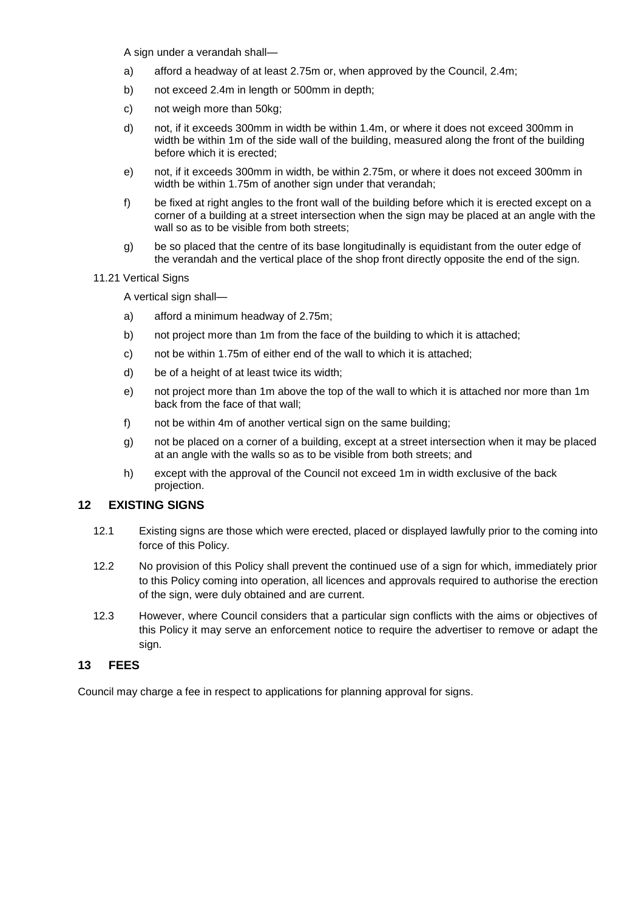A sign under a verandah shall—

- a) afford a headway of at least 2.75m or, when approved by the Council, 2.4m;
- b) not exceed 2.4m in length or 500mm in depth;
- c) not weigh more than 50kg;
- d) not, if it exceeds 300mm in width be within 1.4m, or where it does not exceed 300mm in width be within 1m of the side wall of the building, measured along the front of the building before which it is erected;
- e) not, if it exceeds 300mm in width, be within 2.75m, or where it does not exceed 300mm in width be within 1.75m of another sign under that verandah;
- f) be fixed at right angles to the front wall of the building before which it is erected except on a corner of a building at a street intersection when the sign may be placed at an angle with the wall so as to be visible from both streets;
- g) be so placed that the centre of its base longitudinally is equidistant from the outer edge of the verandah and the vertical place of the shop front directly opposite the end of the sign.

#### 11.21 Vertical Signs

A vertical sign shall—

- a) afford a minimum headway of 2.75m;
- b) not project more than 1m from the face of the building to which it is attached;
- c) not be within 1.75m of either end of the wall to which it is attached;
- d) be of a height of at least twice its width;
- e) not project more than 1m above the top of the wall to which it is attached nor more than 1m back from the face of that wall;
- f) not be within 4m of another vertical sign on the same building;
- g) not be placed on a corner of a building, except at a street intersection when it may be placed at an angle with the walls so as to be visible from both streets; and
- h) except with the approval of the Council not exceed 1m in width exclusive of the back projection.

# **12 EXISTING SIGNS**

- 12.1 Existing signs are those which were erected, placed or displayed lawfully prior to the coming into force of this Policy.
- 12.2 No provision of this Policy shall prevent the continued use of a sign for which, immediately prior to this Policy coming into operation, all licences and approvals required to authorise the erection of the sign, were duly obtained and are current.
- 12.3 However, where Council considers that a particular sign conflicts with the aims or objectives of this Policy it may serve an enforcement notice to require the advertiser to remove or adapt the sign.

### **13 FEES**

Council may charge a fee in respect to applications for planning approval for signs.